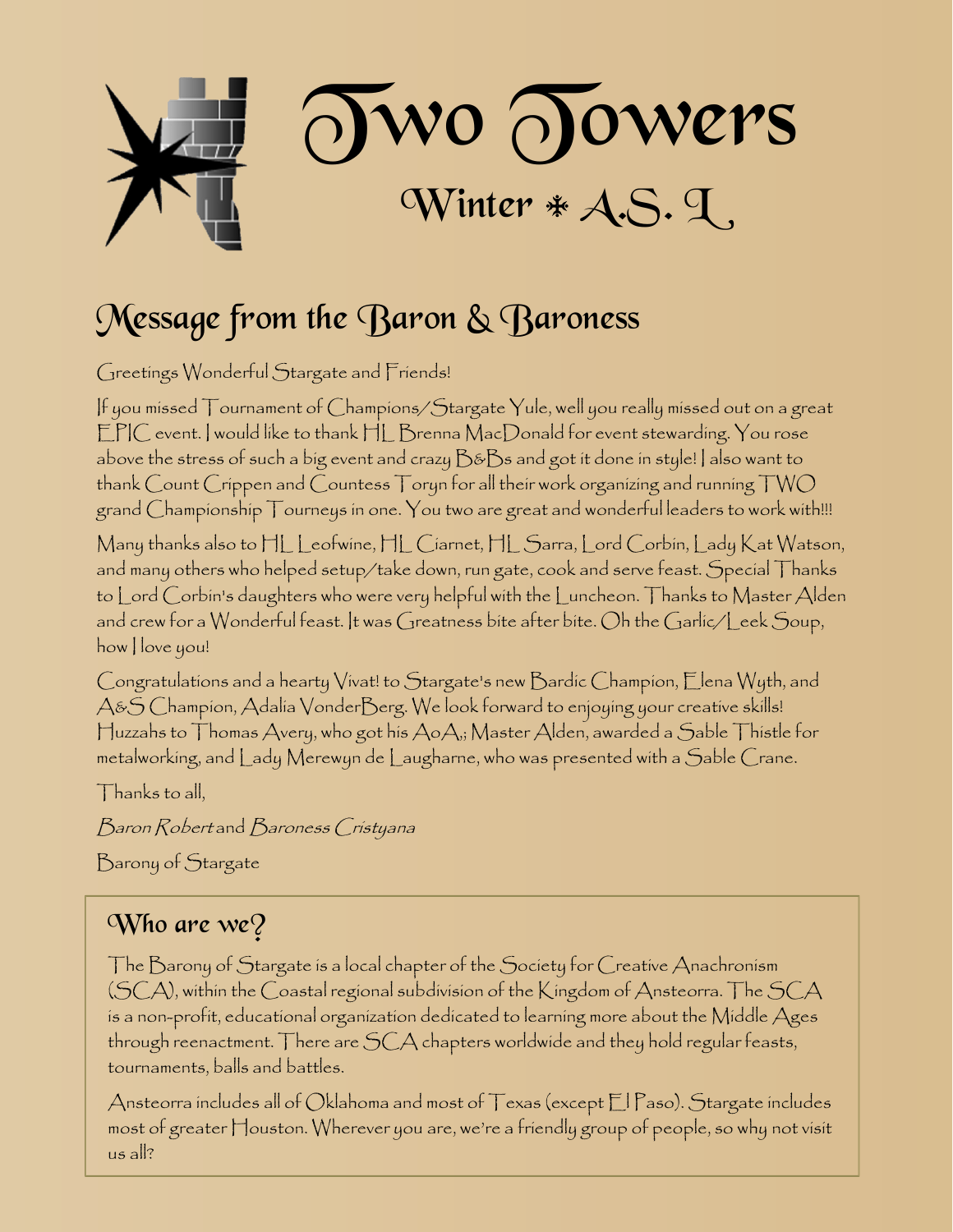

## Message from the Baron & Baroness

Greetings Wonderful Stargate and Friends!

If you missed Tournament of Champions/Stargate Yule, well you really missed out on a great EPIC event. I would like to thank HL Brenna MacDonald for event stewarding. You rose above the stress of such a big event and crazy  $\mathcal{B}\&\mathcal{B}s$  and got it done in style! I also want to thank Count Crippen and Countess Toryn for all their work organizing and running TWO grand Championship Tourneys in one. You two are great and wonderful leaders to work with!!!

Many thanks also to HL Leofwine, HL Ciarnet, HL Sarra, Lord Corbin, Lady Kat Watson, and many others who helped setup/take down, run gate, cook and serve feast. Special Thanks to Lord Corbin's daughters who were very helpful with the Luncheon. Thanks to Master Alden and crew for a Wonderful feast. It was Greatness bite after bite. Oh the Garlic/Leek Soup, how I love you!

Congratulations and a hearty Vivat! to Stargate's new Bardic Champion, Elena Wyth, and A&S Champion, Adalia VonderBerg. We look forward to enjoying your creative skills! Huzzahs to Thomas Avery, who got his AoA,; Master Alden, awarded a Sable Thistle for metalworking, and Lady Merewyn de Laugharne, who was presented with a Sable Crane.

 $\Box$  hanks to all,

Baron Robert and Baroness Cristyana

Barony of Stargate

### Who are  $we$ ?

The Barony of Stargate is a local chapter of the Society for Creative Anachronism (SCA), within the Coastal regional subdivision of the Kingdom of Ansteorra. The SCA is a non-profit, educational organization dedicated to learning more about the Middle Ages through reenactment. There are SCA chapters worldwide and they hold regular feasts, tournaments, balls and battles.

Ansteorra includes all of Oklahoma and most of Texas (except El Paso). Stargate includes most of greater Houston. Wherever you are, we're a friendly group of people, so why not visit us all?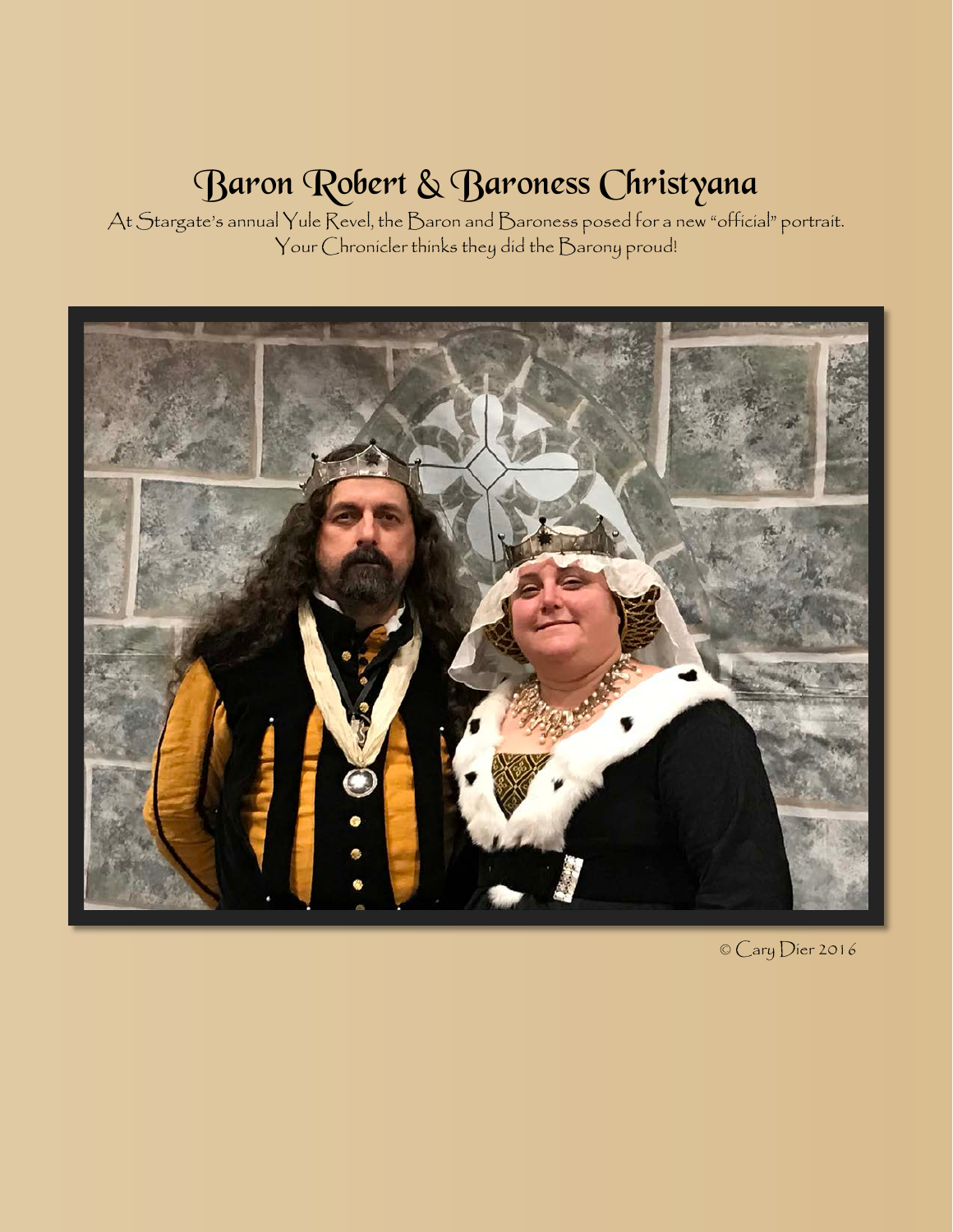## Baron Robert & Baroness Christyana

At Stargate's annual Yule Revel, the Baron and Baroness posed for a new "official" portrait. Your Chronicler thinks they did the Barony proud!



© Cary Dier 2016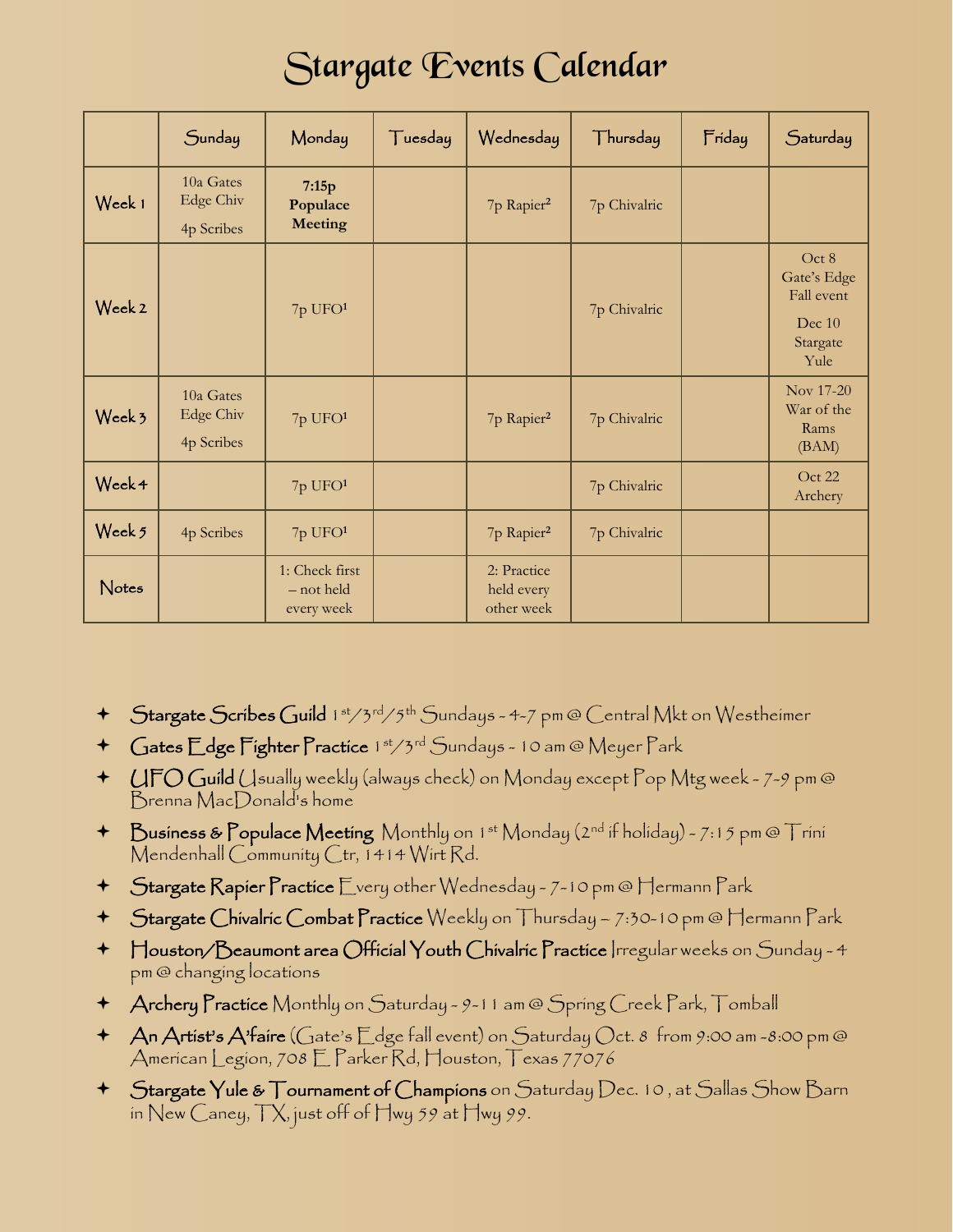## Stargate Events Calendar

|        | Sunday                                      | Monday                                     | Tuesday | Wednesday                               | Thursday     | Friday | Saturday                                                         |
|--------|---------------------------------------------|--------------------------------------------|---------|-----------------------------------------|--------------|--------|------------------------------------------------------------------|
| Week 1 | 10a Gates<br><b>Edge Chiv</b><br>4p Scribes | 7:15p<br>Populace<br><b>Meeting</b>        |         | 7p Rapier <sup>2</sup>                  | 7p Chivalric |        |                                                                  |
| Week 2 |                                             | $7p$ UFO $1$                               |         |                                         | 7p Chivalric |        | Oct 8<br>Gate's Edge<br>Fall event<br>Dec 10<br>Stargate<br>Yule |
| Week 3 | 10a Gates<br><b>Edge Chiv</b><br>4p Scribes | 7p UFO <sup>1</sup>                        |         | 7p Rapier <sup>2</sup>                  | 7p Chivalric |        | Nov 17-20<br>War of the<br>Rams<br>(BAM)                         |
| Week 4 |                                             | $7p$ UFO $1$                               |         |                                         | 7p Chivalric |        | Oct 22<br>Archery                                                |
| Week 5 | 4p Scribes                                  | 7p UFO <sup>1</sup>                        |         | 7p Rapier <sup>2</sup>                  | 7p Chivalric |        |                                                                  |
| Notes  |                                             | 1: Check first<br>- not held<br>every week |         | 2: Practice<br>held every<br>other week |              |        |                                                                  |

- + Stargate Scribes Guild 1st/3rd/5th Sundays 4-7 pm @ Central Mkt on Westheimer
- + Gates Edge Fighter Practice 1st/3rd Sundays 10 am @ Meyer Park
- UFO Guild Usually weekly (always check) on Monday except Pop Mtg week 7-9 pm @ Brenna MacDonald's home
- $\blacklozenge$  Business & Populace Meeting Monthly on 1st Monday (2nd if holiday) 7:15 pm @ Trini Mendenhall Community Ctr, 1414 Wirt Rd.
- Stargate Rapier Practice Every other Wednesday 7-10 pm @ Hermann Park
- Stargate Chivalric Combat Practice Weekly on Thursday 7:30-10 pm @ Hermann Park
- Houston/Beaumont area Official Youth Chivalric Practice Irregular weeks on Sunday 4 pm @ changing locations
- Archery Practice Monthly on Saturday 9-11 am @ Spring Creek Park, Tomball
- $\rightarrow$  An Artist's A'faire (Gate's Edge fall event) on Saturday Oct. 8 from 9:00 am -8:00 pm @ American Legion, 708 E Parker Rd, Houston, Texas 77076
- Stargate Yule & Tournament of Champions on Saturday Dec. 10 , at Sallas Show Barn in New Caney,  $\Box X$ , just off of  $\Box$ wy 59 at  $\Box$ wy 99.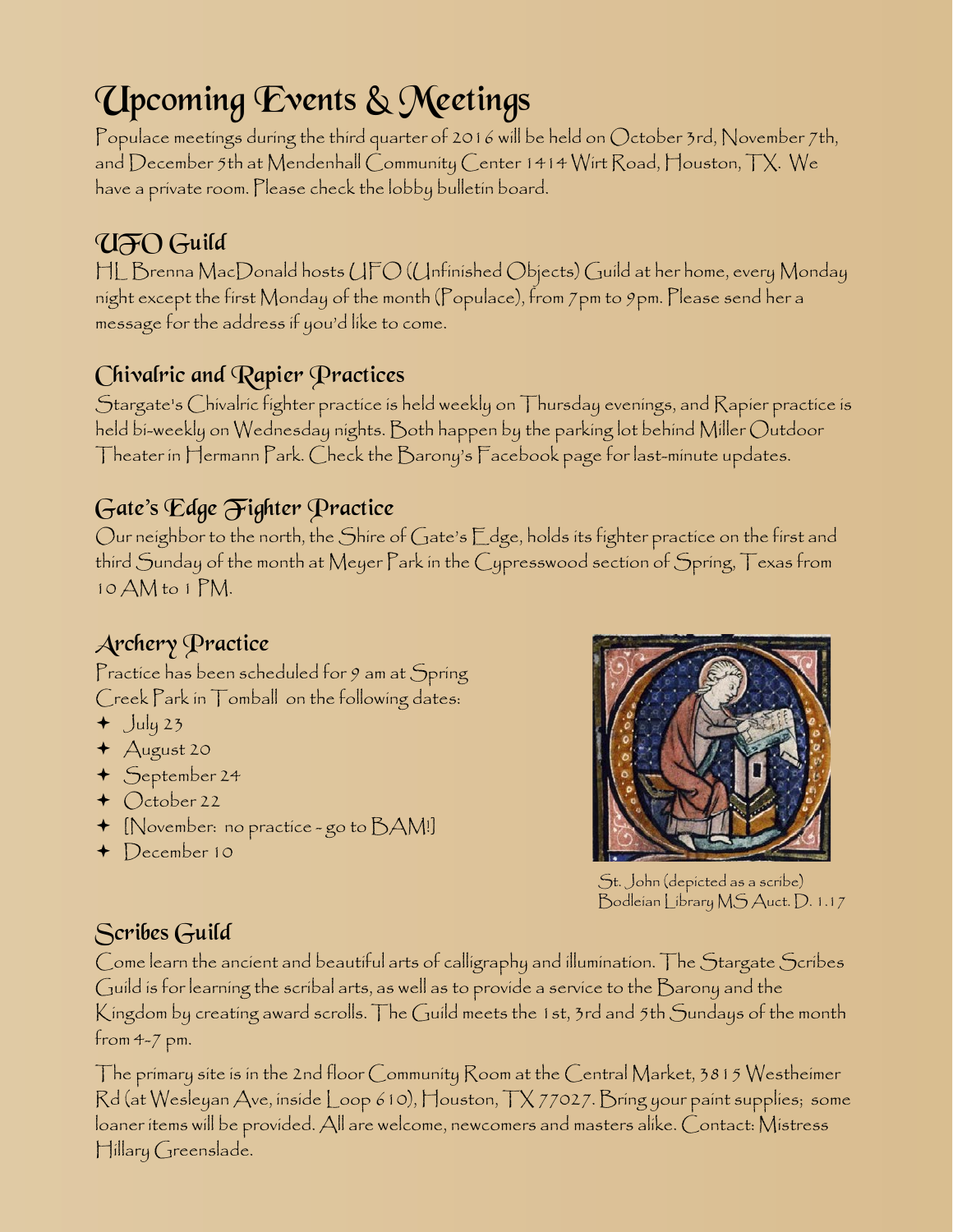# Upcoming Events & Meetings

Populace meetings during the third quarter of 2016 will be held on October 3rd, November 7th, and December 5th at Mendenhall Community Center 1414 Wirt Road, Houston, TX. We have a private room. Please check the lobby bulletin board.

## UFO Guild

HL Brenna MacDonald hosts UFO (Unfinished Objects) Guild at her home, every Monday night except the first Monday of the month (Populace), from 7pm to 9pm. Please send her a message for the address if you'd like to come.

### Chivalric and Rapier Practices

Stargate's Chivalric fighter practice is held weekly on Thursday evenings, and Rapier practice is held bi-weekly on Wednesday nights. Both happen by the parking lot behind Miller Outdoor Theater in Hermann Park. Check the Barony's Facebook page for last-minute updates.

### Gate's Edge Fighter Practice

Our neighbor to the north, the Shire of Gate's Edge, holds its fighter practice on the first and third Sunday of the month at Meyer Park in the Cypresswood section of Spring, Texas from 10 AM to 1 PM.

### Archery Practice

Practice has been scheduled for 9 am at Spring Creek Park in Tomball on the following dates:

- $+$  July 23
- August 20
- September 24
- $\triangleleft$  October 22
- [November: no practice go to BAM!]
- December 10



St. John (depicted as a scribe) Bodleian Library MS Auct. D. 1.17

### Scribes Guild

Come learn the ancient and beautiful arts of calligraphy and illumination. The Stargate Scribes Guild is for learning the scribal arts, as well as to provide a service to the Barony and the Kingdom by creating award scrolls. The Guild meets the 1st, 3rd and 5th Sundays of the month from 4-7 pm.

The primary site is in the 2nd floor Community Room at the Central Market, 3815 Westheimer Rd (at Wesleyan Ave, inside Loop 610), Houston, TX 77027. Bring your paint supplies; some loaner items will be provided. All are welcome, newcomers and masters alike. Contact: Mistress Hillary Greenslade.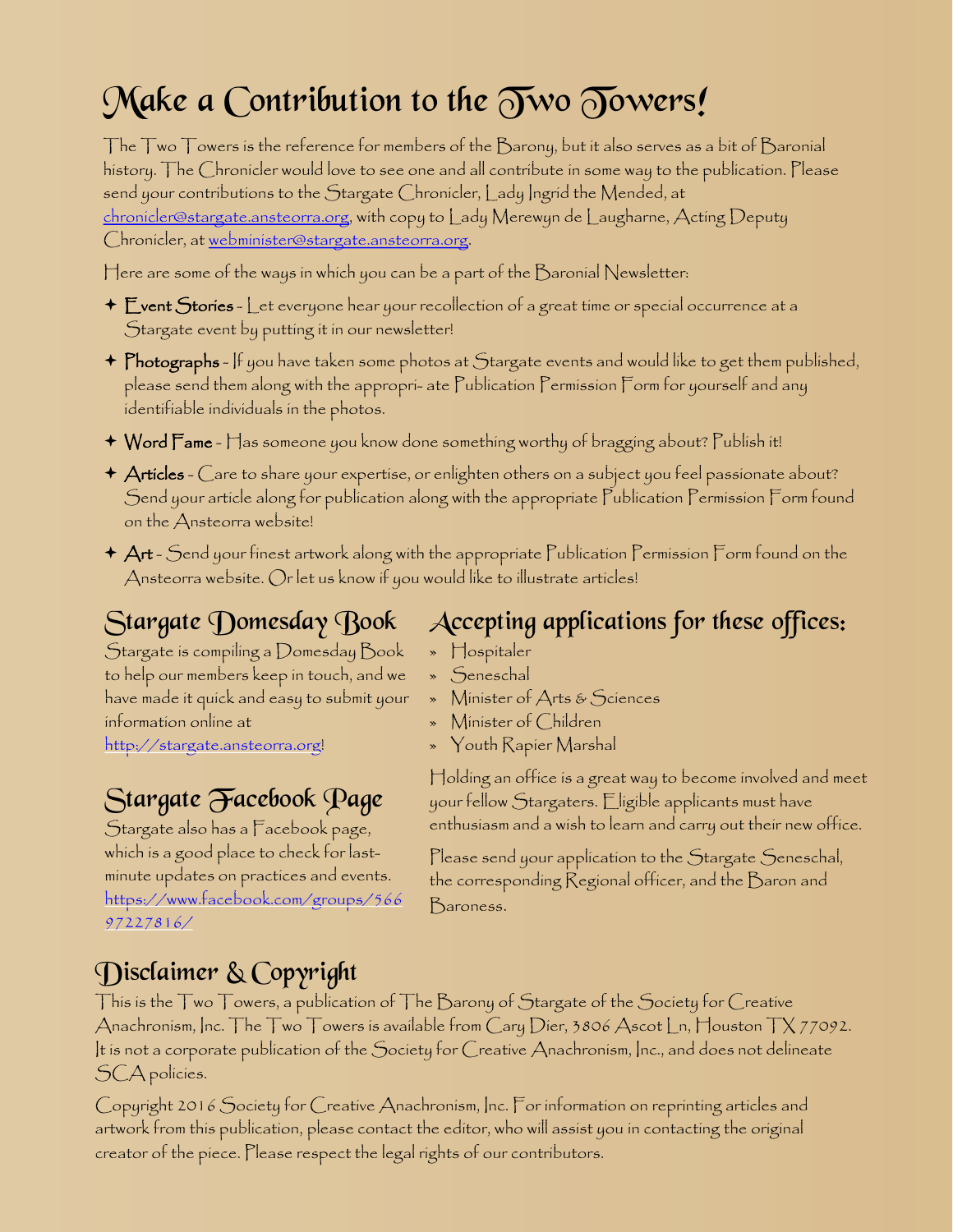# Make a Contribution to the  $\widetilde{\partial w}$   $\widetilde{\partial w}$   $\widetilde{\partial w}$

The Two Towers is the reference for members of the Barony, but it also serves as a bit of Baronial history. The Chronicler would love to see one and all contribute in some way to the publication. Please send your contributions to the Stargate Chronicler, Lady Ingrid the Mended, at [chronicler@stargate.ansteorra.org](mailto:chronicler@stargate.ansteorra.org), with copy to Lady Merewyn de Laugharne, Acting Deputy Chronicler, at [webminister@stargate.ansteorra.org.](mailto:webminister@stargate.ansteorra.org?subject=Two Towers)

Here are some of the ways in which you can be a part of the  $\mathcal B$ aronial Newsletter:

- $\div$   $\mathsf E$ vent  $\mathsf {Stories}$   $\mathsf L$ et everyone hear your recollection of a great time or special occurrence at a Stargate event by putting it in our newsletter!
- $\blacklozenge$   $\mathsf P$ hotographs If you have taken some photos at  $\mathcal S$ targate events and would like to get them published, please send them along with the appropri- ate Publication Permission Form for yourself and any identifiable individuals in the photos.
- Word Fame Has someone you know done something worthy of bragging about? Publish it!
- $\star$  Articles  $\bigcirc$ are to share your expertise, or enlighten others on a subject you feel passionate about? Send your article along for publication along with the appropriate Publication Permission Form found on the Ansteorra website!
- $\star$   $\mathsf{Art}$  Send your finest artwork along with the appropriate Publication Permission Form found on the Ansteorra website. Or let us know if you would like to illustrate articles!

## Stargate Domesday Book

Stargate is compiling a Domesday Book to help our members keep in touch, and we have made it quick and easy to submit your information online at

[http://stargate.ansteorra.org](http://stargate.ansteorra.org/)!

## Stargate Facebook Page

Stargate also has a Facebook page, which is a good place to check for lastminute updates on practices and events. [https://www.facebook.com/groups/566](https://www.facebook.com/groups/56697227816/) [97227816/](https://www.facebook.com/groups/56697227816/)

### Accepting applications for these offices:

- » Hospitaler
- » Seneschal
- » Minister of Arts & Sciences
- » Minister of Children
- » Youth Rapier Marshal

Holding an office is a great way to become involved and meet your fellow Stargaters. Eligible applicants must have enthusiasm and a wish to learn and carry out their new office.

Please send your application to the Stargate Seneschal, the corresponding Regional officer, and the Baron and Baroness.

## Disclaimer & Copyright

This is the Two Towers, a publication of The Barony of Stargate of the Society for Creative Anachronism, Inc. The Two Towers is available from Cary Dier, 3806 Ascot Ln, Houston TX 77092. It is not a corporate publication of the Society for Creative Anachronism, Inc., and does not delineate SCA policies.

Copyright 2016 Society for Creative Anachronism, Inc. For information on reprinting articles and artwork from this publication, please contact the editor, who will assist you in contacting the original creator of the piece. Please respect the legal rights of our contributors.